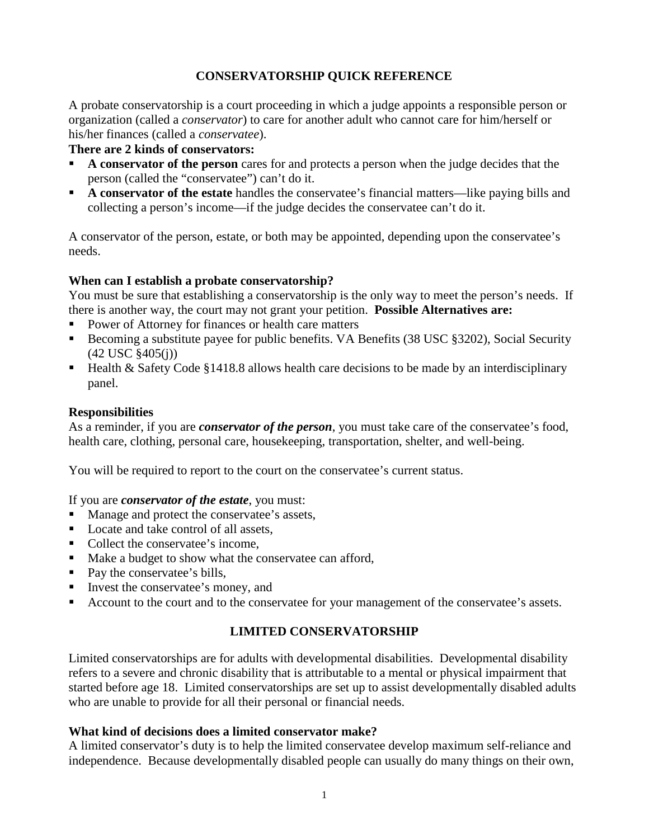# **CONSERVATORSHIP QUICK REFERENCE**

A probate conservatorship is a court proceeding in which a judge appoints a responsible person or organization (called a *conservator*) to care for another adult who cannot care for him/herself or his/her finances (called a *conservatee*).

### **There are 2 kinds of conservators:**

- **A conservator of the person** cares for and protects a person when the judge decides that the person (called the "conservatee") can't do it.
- **A conservator of the estate** handles the conservatee's financial matters—like paying bills and collecting a person's income—if the judge decides the conservatee can't do it.

A conservator of the person, estate, or both may be appointed, depending upon the conservatee's needs.

### **When can I establish a probate conservatorship?**

You must be sure that establishing a conservatorship is the only way to meet the person's needs. If there is another way, the court may not grant your petition. **Possible Alternatives are:**

- Power of Attorney for finances or health care matters
- Becoming a substitute payee for public benefits. VA Benefits (38 USC §3202), Social Security (42 USC §405(j))
- Health & Safety Code  $$1418.8$  allows health care decisions to be made by an interdisciplinary panel.

### **Responsibilities**

As a reminder, if you are *conservator of the person*, you must take care of the conservatee's food, health care, clothing, personal care, housekeeping, transportation, shelter, and well-being.

You will be required to report to the court on the conservatee's current status.

#### If you are *conservator of the estate*, you must:

- Manage and protect the conservatee's assets,
- Locate and take control of all assets,
- Collect the conservatee's income,
- Make a budget to show what the conservatee can afford,
- Pay the conservatee's bills,
- Invest the conservatee's money, and
- Account to the court and to the conservatee for your management of the conservatee's assets.

# **LIMITED CONSERVATORSHIP**

Limited conservatorships are for adults with developmental disabilities. Developmental disability refers to a severe and chronic disability that is attributable to a mental or physical impairment that started before age 18. Limited conservatorships are set up to assist developmentally disabled adults who are unable to provide for all their personal or financial needs.

#### **What kind of decisions does a limited conservator make?**

A limited conservator's duty is to help the limited conservatee develop maximum self-reliance and independence. Because developmentally disabled people can usually do many things on their own,